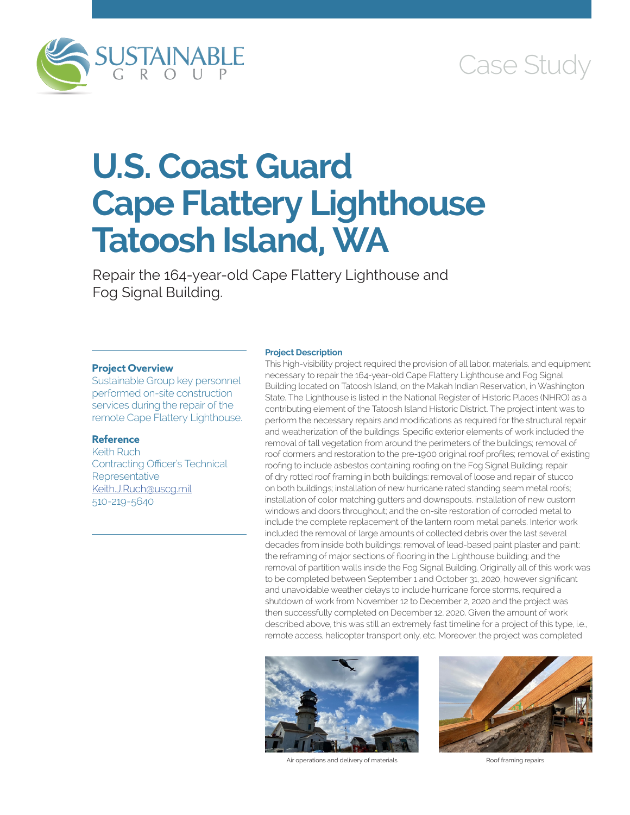



# **U.S. Coast Guard Cape Flattery Lighthouse Tatoosh Island, WA**

Repair the 164-year-old Cape Flattery Lighthouse and Fog Signal Building.

### **Project Overview**

Sustainable Group key personnel performed on-site construction services during the repair of the remote Cape Flattery Lighthouse.

## **Reference**

Keith Ruch Contracting Officer's Technical **Representative** [Keith.J.Ruch@uscg.mil](mailto:Keith.J.Ruch@uscg.mil) 510-219-5640

#### **Project Description**

This high-visibility project required the provision of all labor, materials, and equipment necessary to repair the 164-year-old Cape Flattery Lighthouse and Fog Signal Building located on Tatoosh Island, on the Makah Indian Reservation, in Washington State. The Lighthouse is listed in the National Register of Historic Places (NHRO) as a contributing element of the Tatoosh Island Historic District. The project intent was to perform the necessary repairs and modifications as required for the structural repair and weatherization of the buildings. Specific exterior elements of work included the removal of tall vegetation from around the perimeters of the buildings; removal of roof dormers and restoration to the pre-1900 original roof profiles; removal of existing roofing to include asbestos containing roofing on the Fog Signal Building; repair of dry rotted roof framing in both buildings; removal of loose and repair of stucco on both buildings; installation of new hurricane rated standing seam metal roofs; installation of color matching gutters and downspouts, installation of new custom windows and doors throughout; and the on-site restoration of corroded metal to include the complete replacement of the lantern room metal panels. Interior work included the removal of large amounts of collected debris over the last several decades from inside both buildings: removal of lead-based paint plaster and paint; the reframing of major sections of flooring in the Lighthouse building; and the removal of partition walls inside the Fog Signal Building. Originally all of this work was to be completed between September 1 and October 31, 2020, however significant and unavoidable weather delays to include hurricane force storms, required a shutdown of work from November 12 to December 2, 2020 and the project was then successfully completed on December 12, 2020. Given the amount of work described above, this was still an extremely fast timeline for a project of this type, i.e., remote access, helicopter transport only, etc. Moreover, the project was completed



Air operations and delivery of materials **Roof framing repairs** Roof framing repairs